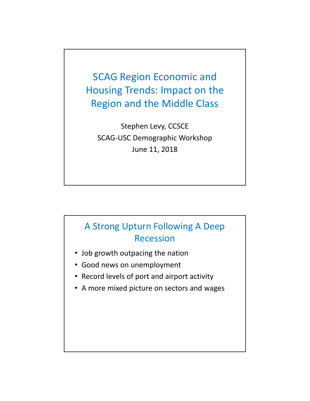SCAG Region Economic and Housing Trends: Impact on the Region and the Middle Class

Stephen Levy, CCSCE SCAG‐USC Demographic Workshop June 11, 2018

# A Strong Upturn Following A Deep Recession

- Job growth outpacing the nation
- Good news on unemployment
- Record levels of port and airport activity
- A more mixed picture on sectors and wages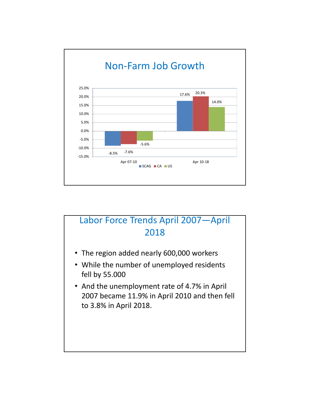

## Labor Force Trends April 2007—April 2018

- The region added nearly 600,000 workers
- While the number of unemployed residents fell by 55.000
- And the unemployment rate of 4.7% in April 2007 became 11.9% in April 2010 and then fell to 3.8% in April 2018.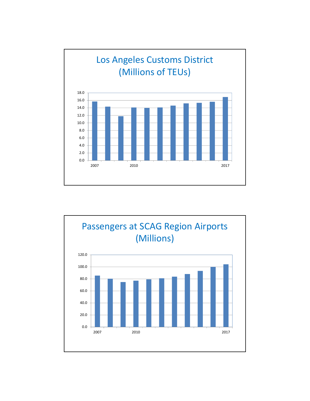

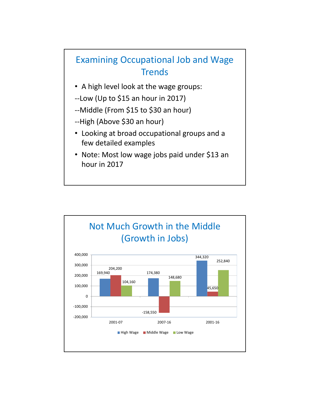# Examining Occupational Job and Wage **Trends**

- A high level look at the wage groups:
- ‐‐Low (Up to \$15 an hour in 2017)
- ‐‐Middle (From \$15 to \$30 an hour)
- ‐‐High (Above \$30 an hour)
- Looking at broad occupational groups and a few detailed examples
- Note: Most low wage jobs paid under \$13 an hour in 2017

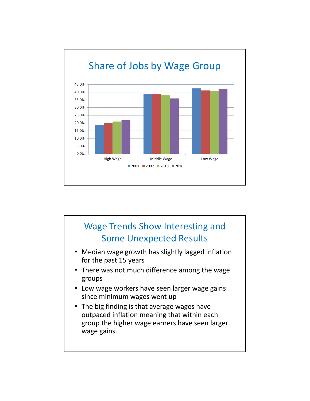

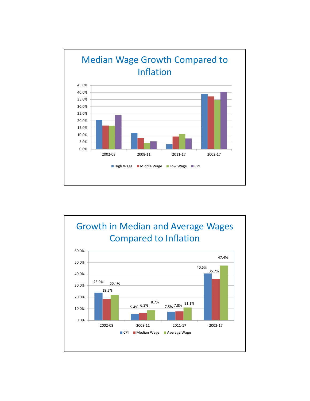

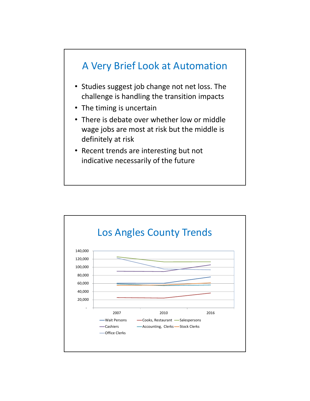

- Studies suggest job change not net loss. The challenge is handling the transition impacts
- The timing is uncertain
- There is debate over whether low or middle wage jobs are most at risk but the middle is definitely at risk
- Recent trends are interesting but not indicative necessarily of the future

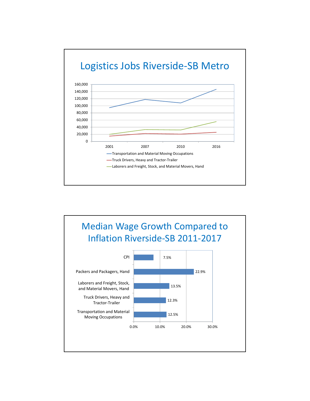

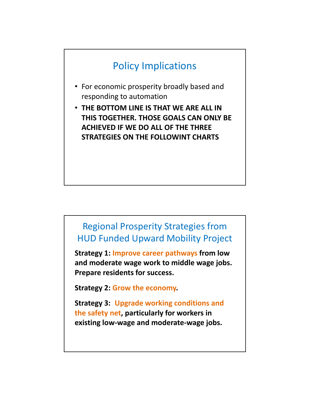# Policy Implications

- For economic prosperity broadly based and responding to automation
- **THE BOTTOM LINE IS THAT WE ARE ALL IN THIS TOGETHER. THOSE GOALS CAN ONLY BE ACHIEVED IF WE DO ALL OF THE THREE STRATEGIES ON THE FOLLOWINT CHARTS**

## Regional Prosperity Strategies from HUD Funded Upward Mobility Project

**Strategy 1: Improve career pathways from low and moderate wage work to middle wage jobs. Prepare residents for success.**

**Strategy 2: Grow the economy.**

**Strategy 3:: Upgrade working conditions and the safety net, particularly for workers in existing low‐wage and moderate‐wage jobs.**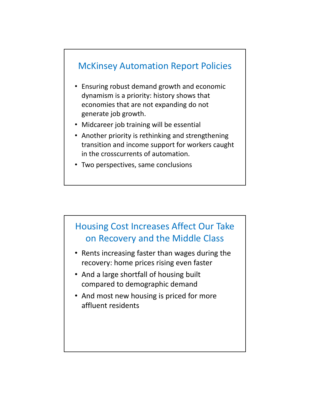

- Ensuring robust demand growth and economic dynamism is a priority: history shows that economies that are not expanding do not generate job growth.
- Midcareer job training will be essential
- Another priority is rethinking and strengthening transition and income support for workers caught in the crosscurrents of automation.
- Two perspectives, same conclusions



- Rents increasing faster than wages during the recovery: home prices rising even faster
- And a large shortfall of housing built compared to demographic demand
- And most new housing is priced for more affluent residents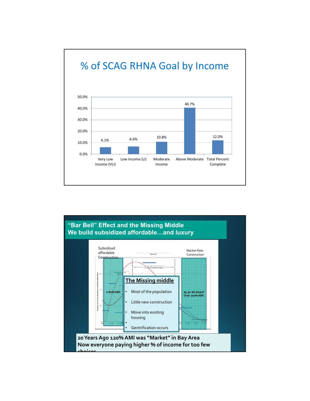

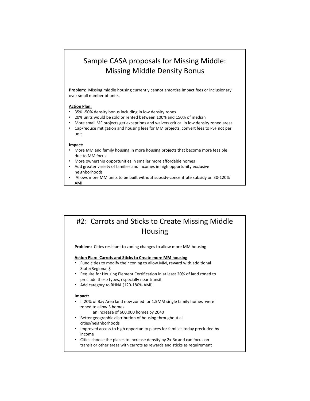### Sample CASA proposals for Missing Middle: Missing Middle Density Bonus

Problem: Missing middle housing currently cannot amortize impact fees or inclusionary over small number of units.

#### **Action Plan:**

- 35% ‐50% density bonus including in low density zones
- 20% units would be sold or rented between 100% and 150% of median
- More small MF projects get exceptions and waivers critical in low density zoned areas • Cap/reduce mitigation and housing fees for MM projects, convert fees to PSF not per unit

#### **Impact:**

- More MM and family housing in more housing projects that become more feasible due to MM focus
- More ownership opportunities in smaller more affordable homes
- Add greater variety of families and incomes in high opportunity exclusive neighborhoods
- Allows more MM units to be built without subsidy‐concentrate subsidy on 30‐120% AMI

### #2: Carrots and Sticks to Create Missing Middle Housing

**Problem:** Cities resistant to zoning changes to allow more MM housing

#### **Action Plan: Carrots and Sticks to Create more MM housing**

- Fund cities to modify their zoning to allow MM, reward with additional State/Regional \$
- Require for Housing Element Certification in at least 20% of land zoned to preclude these types, especially near transit
- Add category to RHNA (120-180% AMI)

#### **Impact:**

- If 20% of Bay Area land now zoned for 1.5MM single family homes were zoned to allow 3 homes
	- an increase of 600,000 homes by 2040
- Better geographic distribution of housing throughout all cities/neighborhoods
- Improved access to high opportunity places for families today precluded by income
- Cities choose the places to increase density by 2x‐3x and can focus on transit or other areas with carrots as rewards and sticks as requirement